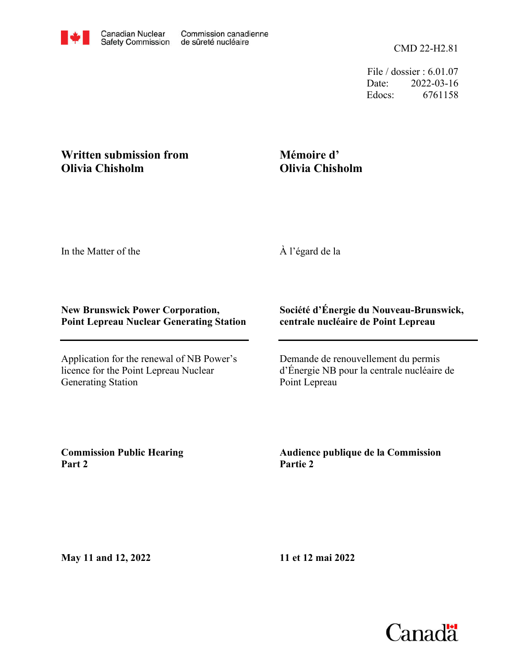File / dossier : 6.01.07 Date: 2022-03-16 Edocs: 6761158

## **Written submission from Olivia Chisholm**

## **Mémoire d' Olivia Chisholm**

In the Matter of the

À l'égard de la

## **New Brunswick Power Corporation, Point Lepreau Nuclear Generating Station**

Application for the renewal of NB Power's licence for the Point Lepreau Nuclear Generating Station

## **Société d'Énergie du Nouveau-Brunswick, centrale nucléaire de Point Lepreau**

Demande de renouvellement du permis d'Énergie NB pour la centrale nucléaire de Point Lepreau

**Commission Public Hearing Part 2**

**Audience publique de la Commission Partie 2**

**May 11 and 12, 2022**

**11 et 12 mai 2022**